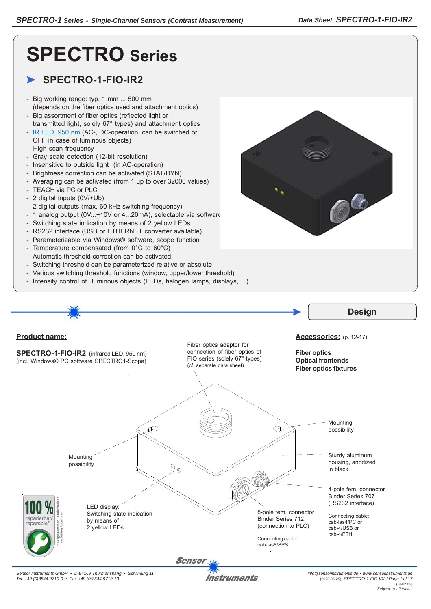# **SPECTRO Series**

# **SPECTRO-1-FIO-IR2**

- Big working range: typ. 1 mm ... 500 mm (depends on the fiber optics used and attachment optics)
- Big assortment of fiber optics (reflected light or transmitted light, solely 67° types) and attachment optics
- IR LED, 950 nm (AC-, DC-operation, can be switched or OFF in case of luminous objects)
- High scan frequency
- Gray scale detection (12-bit resolution)
- Insensitive to outside light (in AC-operation)
- Brightness correction can be activated (STAT/DYN)
- Averaging can be activated (from 1 up to over 32000 values)
- TEACH via PC or PLC
- 2 digital inputs (0V/+Ub)
- 2 digital outputs (max. 60 kHz switching frequency)
- 1 analog output (0V...+10V or 4...20mA), selectable via software
- Switching state indication by means of 2 yellow LEDs
- RS232 interface (USB or ETHERNET converter available)
- Parameterizable via Windows® software, scope function
- Temperature compensated (from 0°C to 60°C)
- Automatic threshold correction can be activated
- Switching threshold can be parameterized relative or absolute
- Various switching threshold functions (window, upper/lower threshold)
- Intensity control of luminous objects (LEDs, halogen lamps, displays, ...)



*Sensor Instruments GmbH • D-94169 Thurmansbang • Schlinding 11 Tel. +49 (0)8544 9719-0 • Fax +49 (0)8544 9719-13*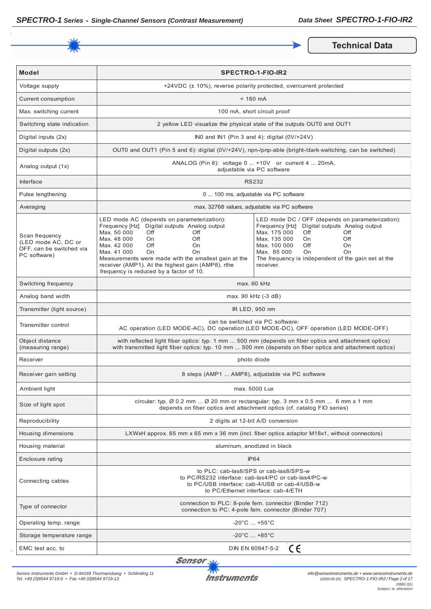

**Technical Data** 

| <b>Model</b>                                                                      | <b>SPECTRO-1-FIO-IR2</b>                                                                                                                                                                                                                                                                                                                                                  |                                                                                                                                                                                                                                                                                                    |
|-----------------------------------------------------------------------------------|---------------------------------------------------------------------------------------------------------------------------------------------------------------------------------------------------------------------------------------------------------------------------------------------------------------------------------------------------------------------------|----------------------------------------------------------------------------------------------------------------------------------------------------------------------------------------------------------------------------------------------------------------------------------------------------|
| Voltage supply                                                                    |                                                                                                                                                                                                                                                                                                                                                                           | +24VDC (± 10%), reverse polarity protected, overcurrent protected                                                                                                                                                                                                                                  |
| Current consumption                                                               |                                                                                                                                                                                                                                                                                                                                                                           | $< 160$ mA                                                                                                                                                                                                                                                                                         |
| Max. switching current                                                            |                                                                                                                                                                                                                                                                                                                                                                           | 100 mA, short circuit proof                                                                                                                                                                                                                                                                        |
| Switching state indication                                                        |                                                                                                                                                                                                                                                                                                                                                                           | 2 yellow LED visualize the physical state of the outputs OUT0 and OUT1                                                                                                                                                                                                                             |
| Digital inputs (2x)                                                               |                                                                                                                                                                                                                                                                                                                                                                           | INO and IN1 (Pin 3 and 4): digital $(0 \vee 1 + 24 \vee)$                                                                                                                                                                                                                                          |
| Digital outputs (2x)                                                              |                                                                                                                                                                                                                                                                                                                                                                           | OUT0 and OUT1 (Pin 5 and 6): digital (0V/+24V), npn-/pnp-able (bright-/dark-switching, can be switched)                                                                                                                                                                                            |
| Analog output (1x)                                                                |                                                                                                                                                                                                                                                                                                                                                                           | ANALOG (Pin 8): voltage 0  +10V or current 4  20mA,<br>adjustable via PC software                                                                                                                                                                                                                  |
| Interface                                                                         |                                                                                                                                                                                                                                                                                                                                                                           | <b>RS232</b>                                                                                                                                                                                                                                                                                       |
| Pulse lengthening                                                                 |                                                                                                                                                                                                                                                                                                                                                                           | 0  100 ms, adjustable via PC software                                                                                                                                                                                                                                                              |
| Averaging                                                                         |                                                                                                                                                                                                                                                                                                                                                                           | max. 32768 values, adjustable via PC software                                                                                                                                                                                                                                                      |
| Scan frequency<br>(LED mode AC, DC or<br>OFF, can be switched via<br>PC software) | LED mode AC (depends on parameterization):<br>Frequency [Hz] Digital outputs Analog output<br>Max. 50 000<br>Off<br>Off<br>Max. 48 000<br>Off<br>On<br>Max. 42 000<br>Off<br>On<br>Max. 41 000<br><b>On</b><br>On<br>Measurements were made with the smallest gain at the<br>receiver (AMP1). At the highest gain (AMP8), rthe<br>frequency is reduced by a factor of 10. | LED mode DC / OFF (depends on parameterization):<br>Digital outputs Analog output<br>Frequency [Hz]<br>Max. 175 000<br>Off<br>Off<br>Max. 135 000<br>Off<br>On.<br>Max. 100 000<br>Off<br>On<br>Max. 85 000<br>On<br><b>On</b><br>The frequency is independent of the gain set at the<br>receiver. |
| Switching frequency                                                               | max. 60 kHz                                                                                                                                                                                                                                                                                                                                                               |                                                                                                                                                                                                                                                                                                    |
| Analog band width                                                                 | max. 90 kHz (-3 dB)                                                                                                                                                                                                                                                                                                                                                       |                                                                                                                                                                                                                                                                                                    |
| Transmitter (light source)                                                        | IR LED, 950 nm                                                                                                                                                                                                                                                                                                                                                            |                                                                                                                                                                                                                                                                                                    |
| Transmitter control                                                               | can be switched via PC software:<br>AC operation (LED MODE-AC), DC operation (LED MODE-DC), OFF operation (LED MODE-OFF)                                                                                                                                                                                                                                                  |                                                                                                                                                                                                                                                                                                    |
| Object distance<br>(measuring range)                                              | with reflected light fiber optics: typ. 1 mm  500 mm (depends on fiber optics and attachment optics)<br>with transmitted light fiber optics: typ. 10 mm  500 mm (depends on fiber optics and attachment optics)                                                                                                                                                           |                                                                                                                                                                                                                                                                                                    |
| Receiver                                                                          | photo diode                                                                                                                                                                                                                                                                                                                                                               |                                                                                                                                                                                                                                                                                                    |
| Receiver gain setting                                                             | 8 steps (AMP1  AMP8), adjustable via PC software                                                                                                                                                                                                                                                                                                                          |                                                                                                                                                                                                                                                                                                    |
| Ambient light                                                                     | max. 5000 Lux                                                                                                                                                                                                                                                                                                                                                             |                                                                                                                                                                                                                                                                                                    |
| Size of light spot                                                                | circular: typ. $\emptyset$ 0.2 mm $\emptyset$ 20 mm or rectangular: typ. 3 mm x 0.5 mm  6 mm x 1 mm<br>depends on fiber optics and attachment optics (cf. catalog FIO series)                                                                                                                                                                                             |                                                                                                                                                                                                                                                                                                    |
| Reproducibility                                                                   | 2 digits at 12-bit A/D conversion                                                                                                                                                                                                                                                                                                                                         |                                                                                                                                                                                                                                                                                                    |
| Housing dimensions                                                                | LXWxH approx. 65 mm x 65 mm x 36 mm (incl. fiber optics adaptor M18x1, without connectors)                                                                                                                                                                                                                                                                                |                                                                                                                                                                                                                                                                                                    |
| Housing material                                                                  | aluminum, anodized in black                                                                                                                                                                                                                                                                                                                                               |                                                                                                                                                                                                                                                                                                    |
| Enclosure rating                                                                  | <b>IP64</b>                                                                                                                                                                                                                                                                                                                                                               |                                                                                                                                                                                                                                                                                                    |
| Connecting cables                                                                 | to PLC: cab-las8/SPS or cab-las8/SPS-w<br>to PC/RS232 interface: cab-las4/PC or cab-las4/PC-w<br>to PC/USB interface: cab-4/USB or cab-4/USB-w<br>to PC/Ethernet interface: cab-4/ETH                                                                                                                                                                                     |                                                                                                                                                                                                                                                                                                    |
| Type of connector                                                                 | connection to PLC: 8-pole fem. connector (Binder 712)<br>connection to PC: 4-pole fem. connector (Binder 707)                                                                                                                                                                                                                                                             |                                                                                                                                                                                                                                                                                                    |
| Operating temp. range                                                             | $-20^{\circ}$ C  +55 $^{\circ}$ C                                                                                                                                                                                                                                                                                                                                         |                                                                                                                                                                                                                                                                                                    |
| Storage temperature range                                                         | $-20^{\circ}$ C  +85 $^{\circ}$ C                                                                                                                                                                                                                                                                                                                                         |                                                                                                                                                                                                                                                                                                    |
| EMC test acc. to                                                                  | CE<br>DIN EN 60947-5-2                                                                                                                                                                                                                                                                                                                                                    |                                                                                                                                                                                                                                                                                                    |

Sensor<sub>N</sub>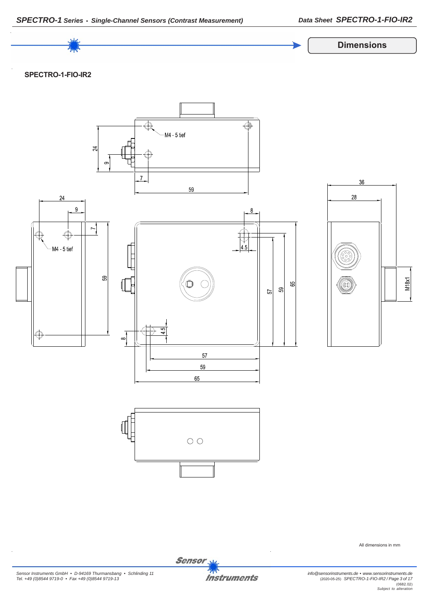

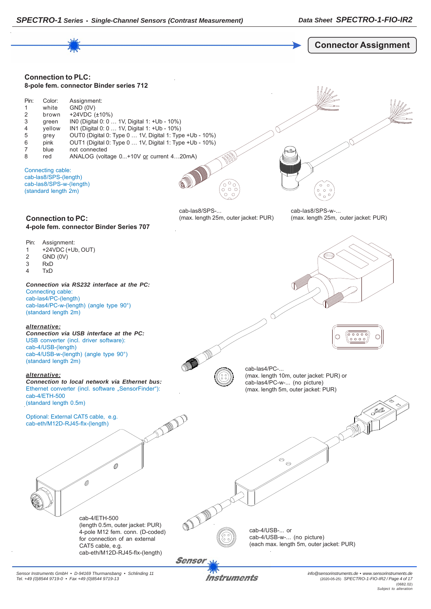

Instruments

*Sensor Instruments GmbH • D-94169 Thurmansbang • Schlinding 11 Tel. +49 (0)8544 9719-0 • Fax +49 (0)8544 9719-13*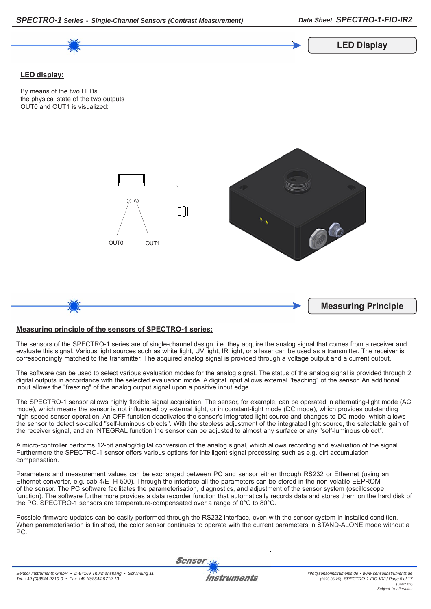

## **Measuring principle of the sensors of SPECTRO-1 series:**

*SPECTRO-1 Series • Single-Channel Sensors (Contrast Measurement)*

The sensors of the SPECTRO-1 series are of single-channel design, i.e. they acquire the analog signal that comes from a receiver and evaluate this signal. Various light sources such as white light, UV light, IR light, or a laser can be used as a transmitter. The receiver is correspondingly matched to the transmitter. The acquired analog signal is provided through a voltage output and a current output.

The software can be used to select various evaluation modes for the analog signal. The status of the analog signal is provided through 2 digital outputs in accordance with the selected evaluation mode. A digital input allows external "teaching" of the sensor. An additional input allows the "freezing" of the analog output signal upon a positive input edge.

The SPECTRO-1 sensor allows highly flexible signal acquisition. The sensor, for example, can be operated in alternating-light mode (AC mode), which means the sensor is not influenced by external light, or in constant-light mode (DC mode), which provides outstanding high-speed sensor operation. An OFF function deactivates the sensor's integrated light source and changes to DC mode, which allows the sensor to detect so-called "self-luminous objects". With the stepless adjustment of the integrated light source, the selectable gain of the receiver signal, and an INTEGRAL function the sensor can be adjusted to almost any surface or any "self-luminous object".

A micro-controller performs 12-bit analog/digital conversion of the analog signal, which allows recording and evaluation of the signal. Furthermore the SPECTRO-1 sensor offers various options for intelligent signal processing such as e.g. dirt accumulation compensation.

Parameters and measurement values can be exchanged between PC and sensor either through RS232 or Ethernet (using an Ethernet converter, e.g. cab-4/ETH-500). Through the interface all the parameters can be stored in the non-volatile EEPROM of the sensor. The PC software facilitates the parameterisation, diagnostics, and adjustment of the sensor system (oscilloscope function). The software furthermore provides a data recorder function that automatically records data and stores them on the hard disk of the PC. SPECTRO-1 sensors are temperature-compensated over a range of 0°C to 80°C.

Possible firmware updates can be easily performed through the RS232 interface, even with the sensor system in installed condition. When parameterisation is finished, the color sensor continues to operate with the current parameters in STAND-ALONE mode without a PC.

Sensor

*Data Sheet SPECTRO-1-FIO-IR2*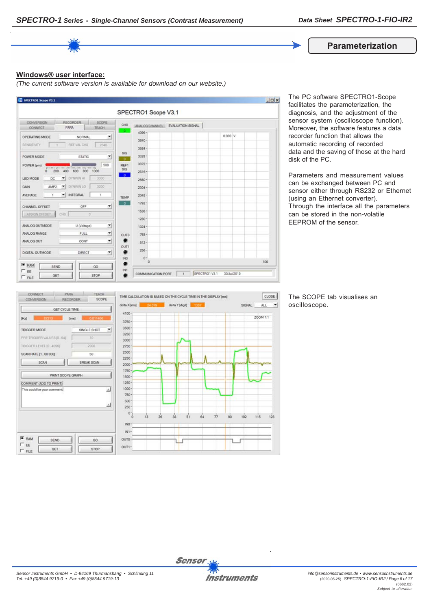

#### **Windows® user interface:**

*(The current software version is available for download on our website.)*



The PC software SPECTRO1-Scope facilitates the parameterization, the diagnosis, and the adjustment of the sensor system (oscilloscope function). Moreover, the software features a data recorder function that allows the automatic recording of recorded data and the saving of those at the hard disk of the PC.

Parameters and measurement values can be exchanged between PC and sensor either through RS232 or Ethernet (using an Ethernet converter). Through the interface all the parameters can be stored in the non-volatile EEPROM of the sensor.



The SCOPE tab visualises an oscilloscope.

 $\left| \cdot \right|$ 

 $128$ 

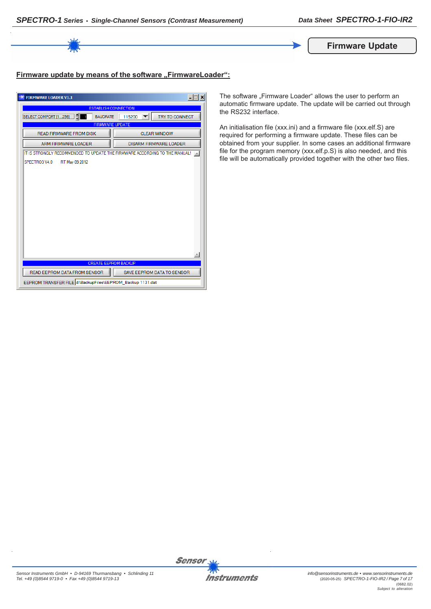

# Firmware update by means of the software "FirmwareLoader":

| <b>FIRMWARE LOADER V1.1</b>                                                | $ \Box$ $\times$              |  |
|----------------------------------------------------------------------------|-------------------------------|--|
| <b>ESTABLISH CONNECTION</b>                                                |                               |  |
| SELECT COMPORT [1256]<br><b>BAUDRATE</b>                                   | TRY TO CONNECT<br>115200      |  |
| <b>FIRMWARE UPDATE</b>                                                     |                               |  |
| <b>READ FIRMWARE FROM DISK</b>                                             | <b>CLEAR WINDOW</b>           |  |
| ARM FIRMWARE LOADER                                                        | <b>DISARM FIRMWARE LOADER</b> |  |
| IT IS STRONGLY RECOMMENDED TO UPDATE THE FIRMWARE ACCORDING TO THE MANUAL! |                               |  |
| SPECTRO3 V4.0<br>RT May 09 2012                                            |                               |  |
|                                                                            |                               |  |
|                                                                            |                               |  |
|                                                                            |                               |  |
|                                                                            |                               |  |
|                                                                            |                               |  |
|                                                                            |                               |  |
|                                                                            |                               |  |
|                                                                            |                               |  |
|                                                                            |                               |  |
|                                                                            |                               |  |
|                                                                            |                               |  |
| <b>CREATE EEPROM BACKUP</b>                                                |                               |  |
| READ EEPROM DATA FROM SENSOR                                               | SAVE EEPROM DATA TO SENSOR    |  |
| EEPROM TRANSFER FILE d:\BackupFiles\EEPROM_Backup 1131.dat                 |                               |  |

The software "Firmware Loader" allows the user to perform an automatic firmware update. The update will be carried out through the RS232 interface.

An initialisation file (xxx.ini) and a firmware file (xxx.elf.S) are required for performing a firmware update. These files can be obtained from your supplier. In some cases an additional firmware file for the program memory (xxx.elf.p.S) is also needed, and this file will be automatically provided together with the other two files.

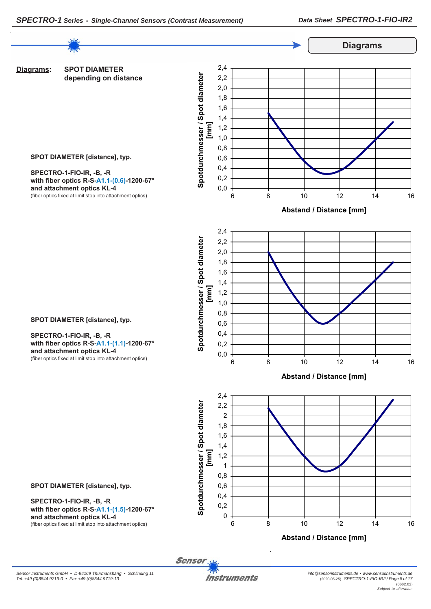

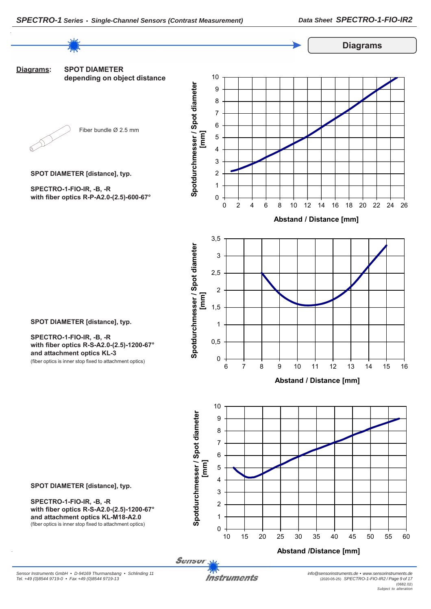

**SPOT DIAMETER [distance], typ.**

**SPECTRO-1-FIO-IR, -B, -R with fiber optics R-S-A2.0-(2.5)-1200-67° and attachment optics KL-3**

(fiber optics is inner stop fixed to attachment optics)

*Instruments*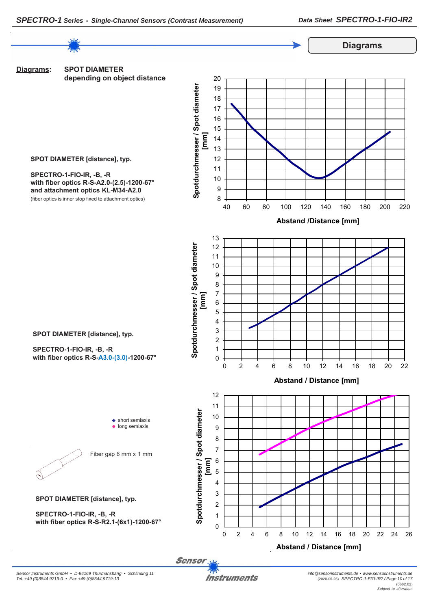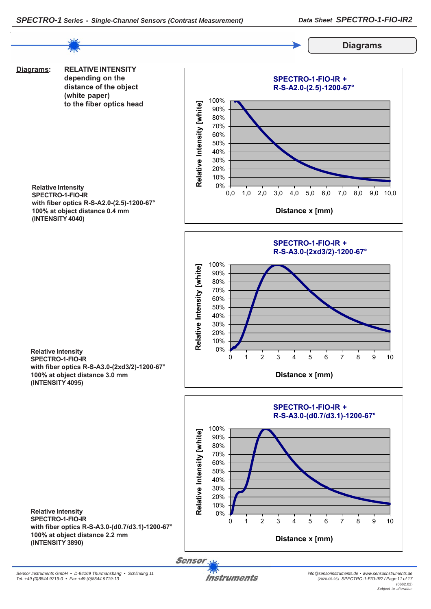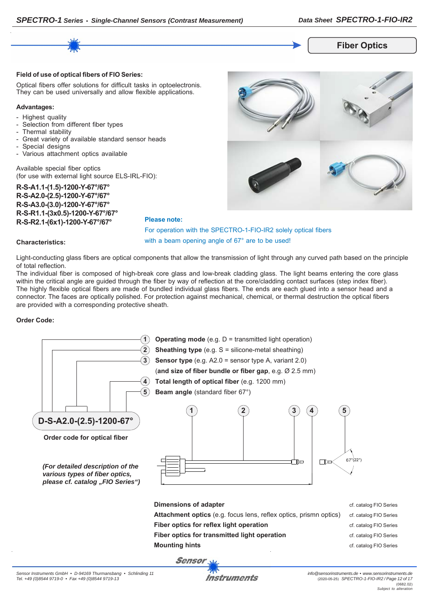

## **Fiber Optics**

#### **Field of use of optical fibers of FIO Series:**

Optical fibers offer solutions for difficult tasks in optoelectronis. They can be used universally and allow flexible applications.

#### **Advantages:**

- Highest quality
- Selection from different fiber types
- Thermal stability
- Great variety of available standard sensor heads
- Special designs
- Various attachment optics available

Available special fiber optics (for use with external light source ELS-IRL-FIO):

**R-S-A1.1-(1.5)-1200-Y-67°/67° R-S-A2.0-(2.5)-1200-Y-67°/67° R-S-A3.0-(3.0)-1200-Y-67°/67° R-S-R1.1-(3x0.5)-1200-Y-67°/67° R-S-R2.1-(6x1)-1200-Y-67°/67°**



For operation with the SPECTRO-1-FIO-IR2 solely optical fibers with a beam opening angle of 67° are to be used!

#### **Characteristics:**

Light-conducting glass fibers are optical components that allow the transmission of light through any curved path based on the principle of total reflection.

**Please note:**

The individual fiber is composed of high-break core glass and low-break cladding glass. The light beams entering the core glass within the critical angle are guided through the fiber by way of reflection at the core/cladding contact surfaces (step index fiber). The highly flexible optical fibers are made of bundled individual glass fibers. The ends are each glued into a sensor head and a connector. The faces are optically polished. For protection against mechanical, chemical, or thermal destruction the optical fibers are provided with a corresponding protective sheath.

#### **Order Code:**

| $\overline{2}$<br>3<br>5<br>D-S-A2.0-(2.5)-1200-67°<br>Order code for optical fiber<br>(For detailed description of the<br>various types of fiber optics,<br>please cf. catalog "FIO Series") | <b>Operating mode</b> (e.g. $D =$ transmitted light operation)<br><b>Sheathing type</b> (e.g. $S =$ silicone-metal sheathing)<br><b>Sensor type</b> (e.g. $A2.0$ = sensor type A, variant 2.0)<br>(and size of fiber bundle or fiber gap, e.g. Ø 2.5 mm)<br>Total length of optical fiber (e.g. 1200 mm)<br><b>Beam angle</b> (standard fiber 67°)<br>5<br>3<br>2<br>4 | $67^{\circ}(22^{\circ})$ |
|-----------------------------------------------------------------------------------------------------------------------------------------------------------------------------------------------|------------------------------------------------------------------------------------------------------------------------------------------------------------------------------------------------------------------------------------------------------------------------------------------------------------------------------------------------------------------------|--------------------------|
|                                                                                                                                                                                               | Dimensions of adapter                                                                                                                                                                                                                                                                                                                                                  | cf. catalog FIO Series   |
|                                                                                                                                                                                               | Attachment optics (e.g. focus lens, reflex optics, prismn optics)                                                                                                                                                                                                                                                                                                      | cf. catalog FIO Series   |
|                                                                                                                                                                                               | Fiber optics for reflex light operation                                                                                                                                                                                                                                                                                                                                | cf. catalog FIO Series   |
|                                                                                                                                                                                               | Fiber optics for transmitted light operation                                                                                                                                                                                                                                                                                                                           | cf. catalog FIO Series   |
| <b>Mounting hints</b><br>cf. catalog FIO Series                                                                                                                                               |                                                                                                                                                                                                                                                                                                                                                                        |                          |
| <b>Sensor</b>                                                                                                                                                                                 |                                                                                                                                                                                                                                                                                                                                                                        |                          |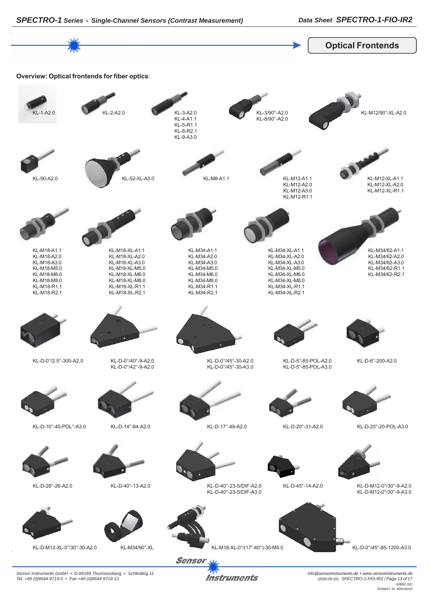

*Instruments* 

*Sensor Instruments GmbH • D-94169 Thurmansbang • Schlinding 11 Tel. +49 (0)8544 9719-0 • Fax +49 (0)8544 9719-13*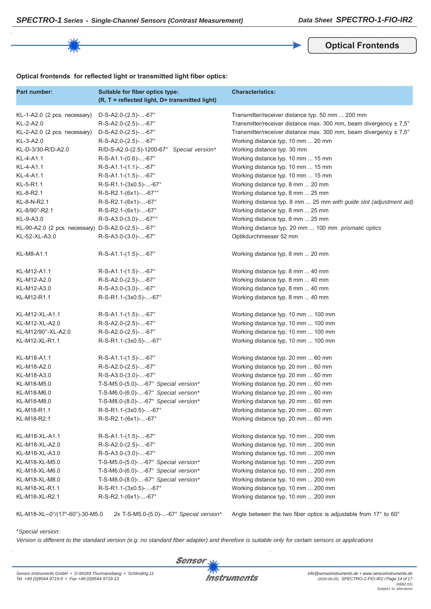**Optical Frontends**

#### **Optical frontends for reflected light or transmitted light fiber optics:**

| Part number:                                      | Suitable for fiber optics type:<br>(R, T = reflected light, D= transmitted light) | <b>Characteristics:</b>                                                      |
|---------------------------------------------------|-----------------------------------------------------------------------------------|------------------------------------------------------------------------------|
| KL-1-A2.0 (2 pcs. necessary)                      | $D-S-A2.0-(2.5)$ --67°                                                            | Transmitter/receiver distance typ. 50 mm  200 mm                             |
| KL-2-A2.0                                         | R-S-A2.0-(2.5)--67°                                                               | Transmitter/receiver distance max. 300 mm, beam divergency $\pm 7.5^{\circ}$ |
| KL-2-A2.0 (2 pcs. necessary)                      | $D-S-A2.0-(2.5)$ --67°                                                            | Transmitter/receiver distance max. 300 mm, beam divergency ± 7,5°            |
| KL-3-A2.0                                         | $R-S-A2.0-(2.5)--67^{\circ}$                                                      | Working distance typ. 10 mm  20 mm                                           |
| KL-D-3/30-R/D-A2.0                                | R/D-S-A2.0-(2.5)-1200-67°<br>Special version*                                     | Working distance typ. 30 mm                                                  |
| KL-4-A1.1                                         | $R-S-A1.1-(0.6)$ --67°                                                            | Working distance typ. 10 mm  15 mm                                           |
| KL-4-A1.1                                         | R-S-A1.1-(1.1)--67°                                                               | Working distance typ. 10 mm  15 mm                                           |
| KL-4-A1.1                                         | R-S-A1.1-(1.5)--67°                                                               | Working distance typ. 10 mm  15 mm                                           |
| KL-5-R1.1                                         | R-S-R1.1-(3x0.5)--67°                                                             | Working distance typ. 8 mm  20 mm                                            |
| KL-8-R2.1                                         | R-S-R2.1-(6x1)--67°°                                                              | Working distance typ. 8 mm  25 mm                                            |
| KL-8-N-R2.1                                       | R-S-R2.1-(6x1)--67°                                                               | Working distance typ. 8 mm  25 mm with guide slot (adjustment aid)           |
| KL-8/90°-R2.1                                     | R-S-R2.1-(6x1)--67°                                                               | Working distance typ. 8 mm  25 mm                                            |
| KL-9-A3.0                                         | $R-S-A3.0-(3.0)$ --67°°                                                           | Working distance typ. 8 mm  25 mm                                            |
| KL-90-A2.0 (2 pcs. necessary) D-S-A2.0-(2.5)--67° |                                                                                   | Working distance typ. 20 mm  100 mm prismatic optics                         |
| KL-52-XL-A3.0                                     | $R-S-A3.0-(3.0)$ --67°                                                            | Optikdurchmesser 52 mm                                                       |
| KL-M8-A1.1                                        | $R-S-A1.1-(1.5)$ --67°                                                            | Working distance typ. 8 mm  20 mm                                            |
| KL-M12-A1.1                                       | $R-S-A1.1-(1.5)$ --67°                                                            | Working distance typ. 8 mm  40 mm                                            |
| KL-M12-A2.0                                       | R-S-A2.0-(2.5)--67°                                                               | Working distance typ. 8 mm  40 mm                                            |
| KL-M12-A3.0                                       | $R-S-A3.0-(3.0)$ --67°                                                            | Working distance typ. 8 mm  40 mm                                            |
| KL-M12-R1.1                                       | R-S-R1.1-(3x0.5)--67°                                                             | Working distance typ. 8 mm  40 mm                                            |
| KL-M12-XL-A1.1                                    | $R-S-A1.1-(1.5)$ --67°                                                            | Working distance typ. 10 mm  100 mm                                          |
| KL-M12-XL-A2.0                                    | R-S-A2.0-(2.5)--67°                                                               | Working distance typ. 10 mm  100 mm                                          |
| KL-M12/90°-XL-A2.0                                | $R-S-A2.0-(2.5)--67^{\circ}$                                                      | Working distance typ. 10 mm  100 mm                                          |
| KL-M12-XL-R1.1                                    | R-S-R1.1-(3x0.5)--67°                                                             | Working distance typ. 10 mm  100 mm                                          |
| KL-M18-A1.1                                       | $R-S-A1.1-(1.5)--67^{\circ}$                                                      | Working distance typ. 20 mm  60 mm                                           |
| KL-M18-A2.0                                       | R-S-A2.0-(2.5)--67°                                                               | Working distance typ. 20 mm  60 mm                                           |
| KL-M18-A3.0                                       | $R-S-A3.0-(3.0)$ --67°                                                            | Working distance typ. 20 mm  60 mm                                           |
| KL-M18-M5.0                                       | T-S-M5.0-(5.0)--67° Special version*                                              | Working distance typ. 20 mm  60 mm                                           |
| KL-M18-M6.0                                       | T-S-M6.0-(6.0)--67° Special version*                                              | Working distance typ. 20 mm  60 mm                                           |
| KL-M18-M8.0                                       | T-S-M8.0-(8.0)--67° Special version*                                              | Working distance typ. 20 mm  60 mm                                           |
| KL-M18-R1.1                                       | R-S-R1.1-(3x0.5)--67°                                                             | Working distance typ. 20 mm  60 mm                                           |
| KL-M18-R2.1                                       | $R-S-R2.1-(6x1)$ --67°                                                            | Working distance typ. 20 mm  60 mm                                           |
| KL-M18-XL-A1.1                                    | $R-S-A1.1-(1.5)$ --67°                                                            | Working distance typ. 10 mm  200 mm                                          |
| KL-M18-XL-A2.0                                    | R-S-A2.0-(2.5)--67°                                                               | Working distance typ. 10 mm  200 mm                                          |
| KL-M18-XL-A3.0                                    | R-S-A3.0-(3.0)--67°                                                               | Working distance typ. 10 mm  200 mm                                          |
| KL-M18-XL-M5.0                                    | T-S-M5.0-(5.0)--67° Special version*                                              | Working distance typ. 10 mm  200 mm                                          |
| KL-M18-XL-M6.0                                    | T-S-M6.0-(6.0)--67° Special version*                                              | Working distance typ. 10 mm  200 mm                                          |
| KL-M18-XL-M8.0                                    | T-S-M8.0-(8.0)--67° Special version*                                              | Working distance typ. 10 mm  200 mm                                          |
| KL-M18-XL-R1.1                                    | R-S-R1.1-(3x0.5)--67°                                                             | Working distance typ. 10 mm  200 mm                                          |
| KL-M18-XL-R2.1                                    | R-S-R2.1-(6x1)--67°                                                               | Working distance typ. 10 mm  200 mm                                          |

KL-M18-XL--0°/(17°-60°)-30-M5.0 2x T-S-M5.0-(5.0)-...-67° *Special version\** Angle between the two fiber optics is adjustable from 17° to 60°

#### \**Special version*:

*Version is different to the standard version (e.g. no standard fiber adapter) and therefore is suitable only for certain sensors or applications*

**Sensor**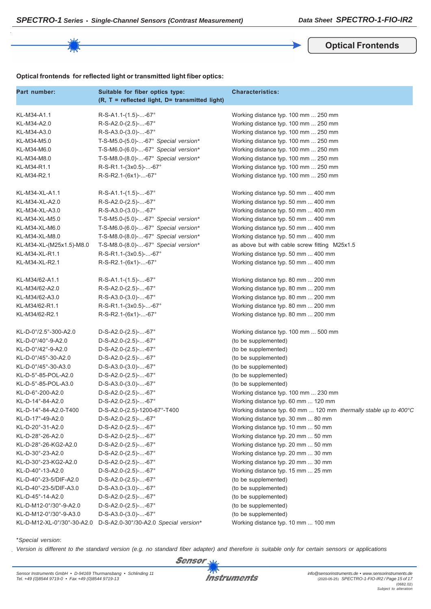**Optical Frontends**

|  |  | Optical frontends for reflected light or transmitted light fiber optics: |  |
|--|--|--------------------------------------------------------------------------|--|
|--|--|--------------------------------------------------------------------------|--|

| Part number:               | Suitable for fiber optics type:<br>(R, T = reflected light, D= transmitted light) | <b>Characteristics:</b>                                          |
|----------------------------|-----------------------------------------------------------------------------------|------------------------------------------------------------------|
| KL-M34-A1.1                | $R-S-A1.1-(1.5)--67°$                                                             | Working distance typ. 100 mm  250 mm                             |
| KL-M34-A2.0                | R-S-A2.0-(2.5)--67°                                                               | Working distance typ. 100 mm  250 mm                             |
| KL-M34-A3.0                | $R-S-A3.0-(3.0)$ --67°                                                            | Working distance typ. 100 mm  250 mm                             |
| KL-M34-M5.0                | T-S-M5.0-(5.0)--67° Special version*                                              | Working distance typ. 100 mm  250 mm                             |
| KL-M34-M6.0                | T-S-M6.0-(6.0)--67° Special version*                                              | Working distance typ. 100 mm  250 mm                             |
| KL-M34-M8.0                | T-S-M8.0-(8.0)--67° Special version*                                              | Working distance typ. 100 mm  250 mm                             |
| KL-M34-R1.1                | R-S-R1.1-(3x0.5)--67°                                                             | Working distance typ. 100 mm  250 mm                             |
| KL-M34-R2.1                | R-S-R2.1-(6x1)--67°                                                               | Working distance typ. 100 mm  250 mm                             |
| KL-M34-XL-A1.1             | $R-S-A1.1-(1.5)--67°$                                                             | Working distance typ. 50 mm  400 mm                              |
| KL-M34-XL-A2.0             | $R-S-A2.0-(2.5)--67^{\circ}$                                                      | Working distance typ. 50 mm  400 mm                              |
| KL-M34-XL-A3.0             | $R-S-A3.0-(3.0)$ --67°                                                            | Working distance typ. 50 mm  400 mm                              |
| KL-M34-XL-M5.0             | T-S-M5.0-(5.0)--67° Special version*                                              | Working distance typ. 50 mm  400 mm                              |
| KL-M34-XL-M6.0             | T-S-M6.0-(6.0)--67° Special version*                                              | Working distance typ. 50 mm  400 mm                              |
| KL-M34-XL-M8.0             | T-S-M8.0-(8.0)--67° Special version*                                              | Working distance typ. 50 mm  400 mm                              |
| KL-M34-XL-(M25x1.5)-M8.0   | T-S-M8.0-(8.0)--67° Special version*                                              | as above but with cable screw fitting M25x1.5                    |
| KL-M34-XL-R1.1             | R-S-R1.1-(3x0.5)--67°                                                             | Working distance typ. 50 mm  400 mm                              |
| KL-M34-XL-R2.1             | R-S-R2.1-(6x1)--67°                                                               | Working distance typ. 50 mm  400 mm                              |
| KL-M34/62-A1.1             | $R-S-A1.1-(1.5)--67°$                                                             | Working distance typ. 80 mm  200 mm                              |
| KL-M34/62-A2.0             | R-S-A2.0-(2.5)--67°                                                               | Working distance typ. 80 mm  200 mm                              |
| KL-M34/62-A3.0             | $R-S-A3.0-(3.0)$ --67°                                                            | Working distance typ. 80 mm  200 mm                              |
| KL-M34/62-R1.1             | R-S-R1.1-(3x0.5)--67°                                                             | Working distance typ. 80 mm  200 mm                              |
| KL-M34/62-R2.1             | R-S-R2.1-(6x1)--67°                                                               | Working distance typ. 80 mm  200 mm                              |
| KL-D-0°/2.5°-300-A2.0      | $D-S-A2.0-(2.5)$ --67°                                                            | Working distance typ. 100 mm  500 mm                             |
| KL-D-0°/40°-9-A2.0         | D-S-A2.0-(2.5)--67°                                                               | (to be supplemented)                                             |
| KL-D-0°/42°-9-A2.0         | $D-S-A2.0-(2.5)$ --67°                                                            | (to be supplemented)                                             |
| KL-D-0°/45°-30-A2.0        | $D-S-A2.0-(2.5)$ --67°                                                            | (to be supplemented)                                             |
| KL-D-0°/45°-30-A3.0        | $D-S-A3.0-(3.0)$ --67°                                                            | (to be supplemented)                                             |
| KL-D-5°-85-POL-A2.0        | $D-S-A2.0-(2.5)$ --67°                                                            | (to be supplemented)                                             |
| KL-D-5°-85-POL-A3.0        | $D-S-A3.0-(3.0)$ --67°                                                            | (to be supplemented)                                             |
| KL-D-6°-200-A2.0           | D-S-A2.0-(2.5)--67°                                                               | Working distance typ. 100 mm  230 mm                             |
| KL-D-14°-84-A2.0           | $D-S-A2.0-(2.5)$ --67°                                                            | Working distance typ. 60 mm  120 mm                              |
| KL-D-14°-84-A2.0-T400      | D-S-A2.0-(2.5)-1200-67°-T400                                                      | Working distance typ. 60 mm  120 mm thermally stable up to 400°C |
| KL-D-17°-49-A2.0           | $D-S-A2.0-(2.5)$ --67°                                                            | Working distance typ. 30 mm  80 mm                               |
| KL-D-20°-31-A2.0           | $D-S-A2.0-(2.5)$ --67°                                                            | Working distance typ. 10 mm  50 mm                               |
| KL-D-28°-26-A2.0           | D-S-A2.0-(2.5)--67°                                                               | Working distance typ. 20 mm  50 mm                               |
| KL-D-28°-26-KG2-A2.0       | D-S-A2.0-(2.5)--67°                                                               | Working distance typ. 20 mm  50 mm                               |
| KL-D-30°-23-A2.0           | D-S-A2.0-(2.5)--67°                                                               | Working distance typ. 20 mm  30 mm                               |
| KL-D-30°-23-KG2-A2.0       | D-S-A2.0-(2.5)--67°                                                               | Working distance typ. 20 mm  30 mm                               |
| KL-D-40°-13-A2.0           | D-S-A2.0-(2.5)--67°                                                               | Working distance typ. 15 mm  25 mm                               |
| KL-D-40°-23-5/DIF-A2.0     | D-S-A2.0-(2.5)--67°                                                               | (to be supplemented)                                             |
| KL-D-40°-23-5/DIF-A3.0     | $D-S-A3.0-(3.0)$ --67°                                                            | (to be supplemented)                                             |
| KL-D-45°-14-A2.0           | D-S-A2.0-(2.5)--67°                                                               | (to be supplemented)                                             |
| KL-D-M12-0°/30°-9-A2.0     | D-S-A2.0-(2.5)--67°                                                               | (to be supplemented)                                             |
| KL-D-M12-0°/30°-9-A3.0     | $D-S-A3.0-(3.0)$ --67°                                                            | (to be supplemented)                                             |
| KL-D-M12-XL-0°/30°-30-A2.0 | D-S-A2.0-30°/30-A2.0 Special version*                                             | Working distance typ. 10 mm  100 mm                              |

\**Special version*:

*Version is different to the standard version (e.g. no standard fiber adapter) and therefore is suitable only for certain sensors or applications*

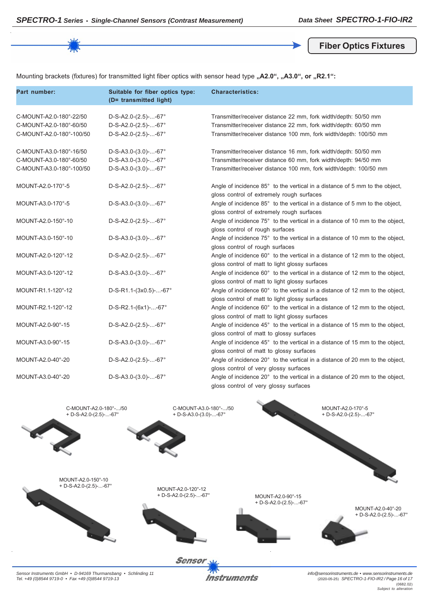**Fiber Optics Fixtures**

Mounting brackets (fixtures) for transmitted light fiber optics with sensor head type "A2.0", "A3.0", or "R2.1":

| Part number:                                                                   | Suitable for fiber optics type:<br>(D= transmitted light)                        | <b>Characteristics:</b>                                                                                                                                                                                 |
|--------------------------------------------------------------------------------|----------------------------------------------------------------------------------|---------------------------------------------------------------------------------------------------------------------------------------------------------------------------------------------------------|
| C-MOUNT-A2.0-180°-22/50<br>C-MOUNT-A2.0-180°-60/50<br>C-MOUNT-A2.0-180°-100/50 | $D-S-A2.0-(2.5)--67^{\circ}$<br>$D-S-A2.0-(2.5)$ --67°<br>$D-S-A2.0-(2.5)$ --67° | Transmitter/receiver distance 22 mm, fork width/depth: 50/50 mm<br>Transmitter/receiver distance 22 mm, fork width/depth: 60/50 mm<br>Transmitter/receiver distance 100 mm, fork width/depth: 100/50 mm |
| C-MOUNT-A3.0-180°-16/50<br>C-MOUNT-A3.0-180°-60/50<br>C-MOUNT-A3.0-180°-100/50 | $D-S-A3.0-(3.0)$ --67°<br>$D-S-A3.0-(3.0)$ --67°<br>$D-S-A3.0-(3.0)$ --67°       | Transmitter/receiver distance 16 mm, fork width/depth: 50/50 mm<br>Transmitter/receiver distance 60 mm, fork width/depth: 94/50 mm<br>Transmitter/receiver distance 100 mm, fork width/depth: 100/50 mm |
| MOUNT-A2.0-170°-5                                                              | $D-S-A2.0-(2.5)$ --67°                                                           | Angle of incidence 85° to the vertical in a distance of 5 mm to the object,<br>gloss control of extremely rough surfaces                                                                                |
| MOUNT-A3.0-170°-5                                                              | $D-S-A3.0-(3.0)$ --67°                                                           | Angle of incidence 85° to the vertical in a distance of 5 mm to the object,<br>gloss control of extremely rough surfaces                                                                                |
| MOUNT-A2.0-150°-10                                                             | $D-S-A2.0-(2.5)$ --67°                                                           | Angle of incidence 75° to the vertical in a distance of 10 mm to the object,<br>gloss control of rough surfaces                                                                                         |
| MOUNT-A3.0-150°-10                                                             | $D-S-A3.0-(3.0)$ --67°                                                           | Angle of incidence 75° to the vertical in a distance of 10 mm to the object,<br>gloss control of rough surfaces                                                                                         |
| MOUNT-A2.0-120°-12                                                             | $D-S-A2.0-(2.5)$ --67°                                                           | Angle of incidence 60° to the vertical in a distance of 12 mm to the object,<br>gloss control of matt to light glossy surfaces                                                                          |
| MOUNT-A3.0-120°-12                                                             | $D-S-A3.0-(3.0)$ --67°                                                           | Angle of incidence 60° to the vertical in a distance of 12 mm to the object,<br>gloss control of matt to light glossy surfaces                                                                          |
| MOUNT-R1.1-120°-12                                                             | D-S-R1.1-(3x0.5)--67°                                                            | Angle of incidence 60° to the vertical in a distance of 12 mm to the object,<br>gloss control of matt to light glossy surfaces                                                                          |
| MOUNT-R2.1-120°-12                                                             | $D-S-R2.1-(6x1)--67°$                                                            | Angle of incidence 60° to the vertical in a distance of 12 mm to the object,<br>gloss control of matt to light glossy surfaces                                                                          |
| MOUNT-A2.0-90°-15                                                              | $D-S-A2.0-(2.5)$ --67°                                                           | Angle of incidence 45° to the vertical in a distance of 15 mm to the object,<br>gloss control of matt to glossy surfaces                                                                                |
| MOUNT-A3.0-90°-15                                                              | $D-S-A3.0-(3.0)$ --67°                                                           | Angle of incidence 45° to the vertical in a distance of 15 mm to the object,<br>gloss control of matt to glossy surfaces                                                                                |
| MOUNT-A2.0-40°-20                                                              | $D-S-A2.0-(2.5)$ --67°                                                           | Angle of incidence 20° to the vertical in a distance of 20 mm to the object,<br>gloss control of very glossy surfaces                                                                                   |
| MOUNT-A3.0-40°-20                                                              | $D-S-A3.0-(3.0)$ --67°                                                           | Angle of incidence 20° to the vertical in a distance of 20 mm to the object,<br>gloss control of very glossy surfaces                                                                                   |



*Sensor Instruments GmbH • D-94169 Thurmansbang • Schlinding 11 Tel. +49 (0)8544 9719-0 • Fax +49 (0)8544 9719-13*

**Instruments** 

*info@sensorinstruments.de • www.sensorinstruments.de* (2020-05-25) *SPECTRO-1-FIO-IR2 / Page 16 of 17* (0682.02) *Subject to alteration*